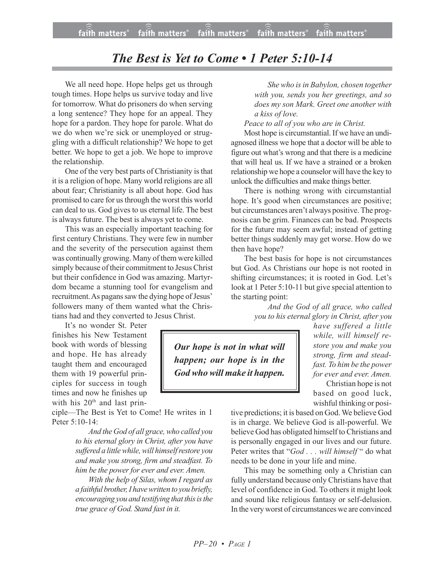## *The Best is Yet to Come • 1 Peter 5:10-14*

We all need hope. Hope helps get us through tough times. Hope helps us survive today and live for tomorrow. What do prisoners do when serving a long sentence? They hope for an appeal. They hope for a pardon. They hope for parole. What do we do when we're sick or unemployed or struggling with a difficult relationship? We hope to get better. We hope to get a job. We hope to improve the relationship.

One of the very best parts of Christianity is that it is a religion of hope. Many world religions are all about fear; Christianity is all about hope. God has promised to care for us through the worst this world can deal to us. God gives to us eternal life. The best is always future. The best is always yet to come.

This was an especially important teaching for first century Christians. They were few in number and the severity of the persecution against them was continually growing. Many of them were killed simply because of their commitment to Jesus Christ but their confidence in God was amazing. Martyrdom became a stunning tool for evangelism and recruitment. As pagans saw the dying hope of Jesus' followers many of them wanted what the Christians had and they converted to Jesus Christ.

It's no wonder St. Peter finishes his New Testament book with words of blessing and hope. He has already taught them and encouraged them with 19 powerful principles for success in tough times and now he finishes up with his  $20<sup>th</sup>$  and last prin-

ciple—The Best is Yet to Come! He writes in 1 Peter 5:10-14:

> *And the God of all grace,who called you to his eternal glory in Christ, after you have suffered a littlewhile,will himself restore you and make you strong, firm and steadfast. To him be the power for ever and ever. Amen.*

> *With the help of Silas, whom I regard as a faithful brother, I havewritten to you briefly, encouraging* you and *testifying that this is the true grace of God. Stand fast in it.*

*She who isin Babylon, chosen together with you, sends you her greetings, and so does my son Mark. Greet one another with a kiss of love.*

*Peace to all of you who are in Christ.*

Most hope is circumstantial. If we have an undiagnosed illness we hope that a doctor will be able to figure out what's wrong and that there is a medicine that will heal us. If we have a strained or a broken relationship we hope a counselor will have the key to unlock the difficulties and make things better.

There is nothing wrong with circumstantial hope. It's good when circumstances are positive; but circumstances aren't always positive.The prognosis can be grim. Finances can be bad. Prospects for the future may seem awful; instead of getting better things suddenly may get worse. How do we then have hope?

The best basis for hope is not circumstances but God. As Christians our hope is not rooted in shifting circumstances; it is rooted in God. Let's look at 1 Peter 5:10-11 but give special attention to the starting point:

> *And the God of all grace, who called you to his eternal glory in Christ, after you*

*Our hope is not in what will happen; our hope is in the God who will make it happen.*

*have suffered a little while, will himself restore you and make you strong, firm and steadfast. To him be the power for ever and ever. Amen.* Christian hope is not

based on good luck, wishful thinking or posi-

tive predictions; it is based on God. We believe God is in charge. We believe God is all-powerful. We believe God has obligated himself to Christians and is personally engaged in our lives and our future. Peter writes that "*God . . . will himself* " do what needs to be done in your life and mine.

This may be something only a Christian can fully understand because only Christians have that level of confidence in God. To others it might look and sound like religious fantasy or self-delusion. In the very worst of circumstances we are convinced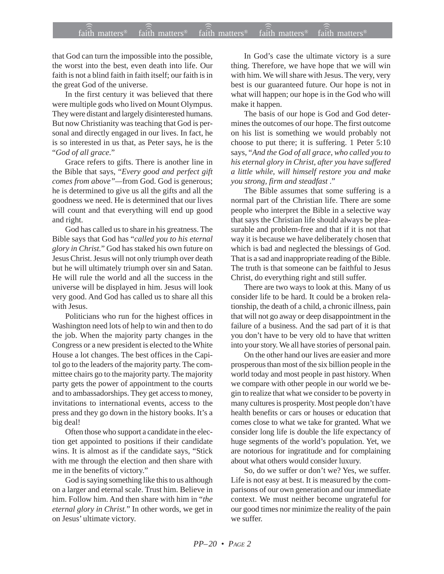## $f$ ai $\widehat{(\widehat{\widehat{\mathfrak{n}}})}$  matters®  $f$ ai $\widehat{\widehat{\mathfrak{m}}}$  matters®  $f$ aith matters®  $f$ aith matters® faith matters<sup>®</sup> faith matters<sup>®</sup> faith matters<sup>®</sup>

that God can turn the impossible into the possible, the worst into the best, even death into life. Our faith is not a blind faith in faith itself; our faith is in the great God of the universe.

In the first century it was believed that there were multiple gods who lived on Mount Olympus. They were distant and largely disinterested humans. But now Christianity was teaching that God is personal and directly engaged in our lives. In fact, he is so interested in us that, as Peter says, he is the "*God of all grace*."

Grace refers to gifts. There is another line in the Bible that says, "*Every good and perfect gift comes from above"—*from God. God is generous; he is determined to give us all the gifts and all the goodness we need. He is determined that our lives will count and that everything will end up good and right.

God has called us to share in his greatness. The Bible says that God has "*called you to his eternal glory in Christ.*" God has staked his own future on Jesus Christ. Jesus will not only triumph over death but he will ultimately triumph over sin and Satan. He will rule the world and all the success in the universe will be displayed in him. Jesus will look very good. And God has called us to share all this with Jesus.

Politicians who run for the highest offices in Washington need lots of help to win and then to do the job. When the majority party changes in the Congress or a new president is elected to the White House a lot changes. The best offices in the Capitol go to the leaders of the majority party. The committee chairs go to the majority party. The majority party gets the power of appointment to the courts and to ambassadorships. They get access to money, invitations to international events, access to the press and they go down in the history books. It's a big deal!

Often those who support a candidate in the election get appointed to positions if their candidate wins. It is almost as if the candidate says, "Stick with me through the election and then share with me in the benefits of victory."

God is saying something like this to us although on a larger and eternal scale. Trust him. Believe in him. Follow him. And then share with him in "*the eternal glory in Christ.*" In other words, we get in on Jesus' ultimate victory.

In God's case the ultimate victory is a sure thing. Therefore, we have hope that we will win with him. We will share with Jesus. The very, very best is our guaranteed future. Our hope is not in what will happen; our hope is in the God who will make it happen.

The basis of our hope is God and God determines the outcomes of our hope. The first outcome on his list is something we would probably not choose to put there; it is suffering. 1 Peter 5:10 says, "*And the God of all grace, who called you to his eternal glory in Christ, after you have suffered a little while, will himself restore you and make you strong, firm and steadfast* ."

The Bible assumes that some suffering is a normal part of the Christian life. There are some people who interpret the Bible in a selective way that says the Christian life should always be pleasurable and problem-free and that if it is not that way it is because we have deliberately chosen that which is bad and neglected the blessings of God. That is a sad and inappropriate reading of the Bible. The truth is that someone can be faithful to Jesus Christ, do everything right and still suffer.

There are two ways to look at this. Many of us consider life to be hard. It could be a broken relationship, the death of a child, a chronic illness, pain that will not go away or deep disappointment in the failure of a business. And the sad part of it is that you don't have to be very old to have that written into your story. We all have stories of personal pain.

On the other hand our lives are easier and more prosperous than most of the six billion people in the world today and most people in past history. When we compare with other people in our world we begin to realize that what we consider to be poverty in many cultures is prosperity. Most people don't have health benefits or cars or houses or education that comes close to what we take for granted. What we consider long life is double the life expectancy of huge segments of the world's population. Yet, we are notorious for ingratitude and for complaining about what others would consider luxury.

So, do we suffer or don't we? Yes, we suffer. Life is not easy at best. It is measured by the comparisons of our own generation and our immediate context. We must neither become ungrateful for our good times nor minimize the reality of the pain we suffer.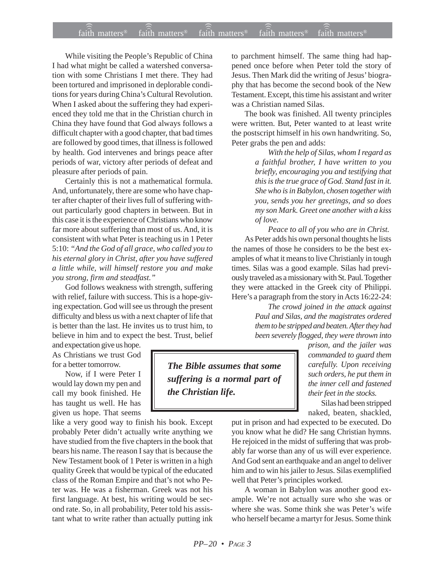## $f$ ai $\widehat{(\widehat{\widehat{\mathfrak{n}}})}$  matters®  $f$ ai $\widehat{\widehat{\mathfrak{m}}}$  matters®  $f$ aith matters®  $f$ aith matters® faith matters<sup>®</sup> ))) )))

While visiting the People's Republic of China I had what might be called a watershed conversation with some Christians I met there. They had been tortured and imprisoned in deplorable conditions for years during China's Cultural Revolution. When I asked about the suffering they had experienced they told me that in the Christian church in China they have found that God always follows a difficult chapter with a good chapter, that bad times are followed by good times, that illness is followed by health. God intervenes and brings peace after periods of war, victory after periods of defeat and pleasure after periods of pain.

Certainly this is not a mathematical formula. And, unfortunately, there are some who have chapter after chapter of their lives full of suffering without particularly good chapters in between. But in this case it is the experience of Christians who know far more about suffering than most of us. And, it is consistent with what Peter is teaching us in 1 Peter 5:10: *"And the God of all grace, who called you to his eternal glory in Christ, after you have suffered a little while, will himself restore you and make you strong, firm and steadfast."*

God follows weakness with strength, suffering with relief, failure with success. This is a hope-giving expectation. God will see us through the present difficulty and bless us with a next chapter of life that is better than the last. He invites us to trust him, to believe in him and to expect the best. Trust, belief

and expectation give us hope. As Christians we trust God for a better tomorrow.

Now, if I were Peter I would lay down my pen and call my book finished. He has taught us well. He has given us hope. That seems

like a very good way to finish his book. Except probably Peter didn't actually write anything we have studied from the five chapters in the book that bears his name. The reason I say that is because the New Testament book of 1 Peter is written in a high quality Greek that would be typical of the educated class of the Roman Empire and that's not who Peter was. He was a fisherman. Greek was not his first language. At best, his writing would be second rate. So, in all probability, Peter told his assistant what to write rather than actually putting ink to parchment himself. The same thing had happened once before when Peter told the story of Jesus. Then Mark did the writing of Jesus' biography that has become the second book of the New Testament. Except, this time his assistant and writer was a Christian named Silas.

The book was finished. All twenty principles were written. But, Peter wanted to at least write the postscript himself in his own handwriting. So, Peter grabs the pen and adds:

> *With the help of Silas, whom I regard as a faithful brother, I have written to you briefly, encouraging you and testifying that this is the true grace of God. Stand fast in it. She who is in Babylon, chosen together with you, sends you her greetings, and so does my son Mark. Greet one another with a kiss of love.*

*Peace to all of you who are in Christ.* As Peter adds his own personal thoughts he lists the names of those he considers to be the best examples of what it means to live Christianly in tough times. Silas was a good example. Silas had previously traveled as a missionary with St. Paul. Together they were attacked in the Greek city of Philippi. Here's a paragraph from the story in Acts 16:22-24:

> *The crowd joined in the attack against Paul and Silas, and the magistrates ordered them to be stripped and beaten. After they had been severely flogged, they were thrown into*

*The Bible assumes that some suffering is a normal part of the Christian life.*

*prison, and the jailer was commanded to guard them carefully. Upon receiving such orders, he put them in the inner cell and fastened their feet in the stocks.*

Silas had been stripped naked, beaten, shackled,

put in prison and had expected to be executed. Do you know what he did? He sang Christian hymns. He rejoiced in the midst of suffering that was probably far worse than any of us will ever experience. And God sent an earthquake and an angel to deliver him and to win his jailer to Jesus. Silas exemplified well that Peter's principles worked.

A woman in Babylon was another good example. We're not actually sure who she was or where she was. Some think she was Peter's wife who herself became a martyr for Jesus. Some think